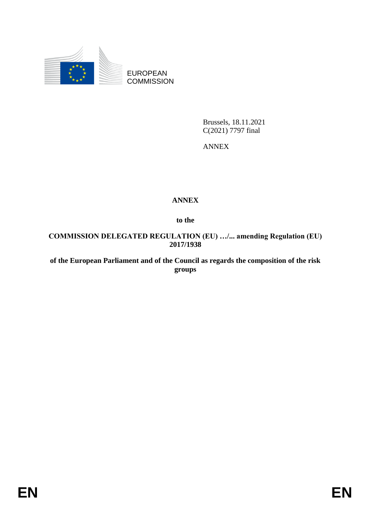

EUROPEAN **COMMISSION** 

> Brussels, 18.11.2021 C(2021) 7797 final

ANNEX

## **ANNEX**

**to the**

**COMMISSION DELEGATED REGULATION (EU) …/... amending Regulation (EU) 2017/1938**

**of the European Parliament and of the Council as regards the composition of the risk groups**